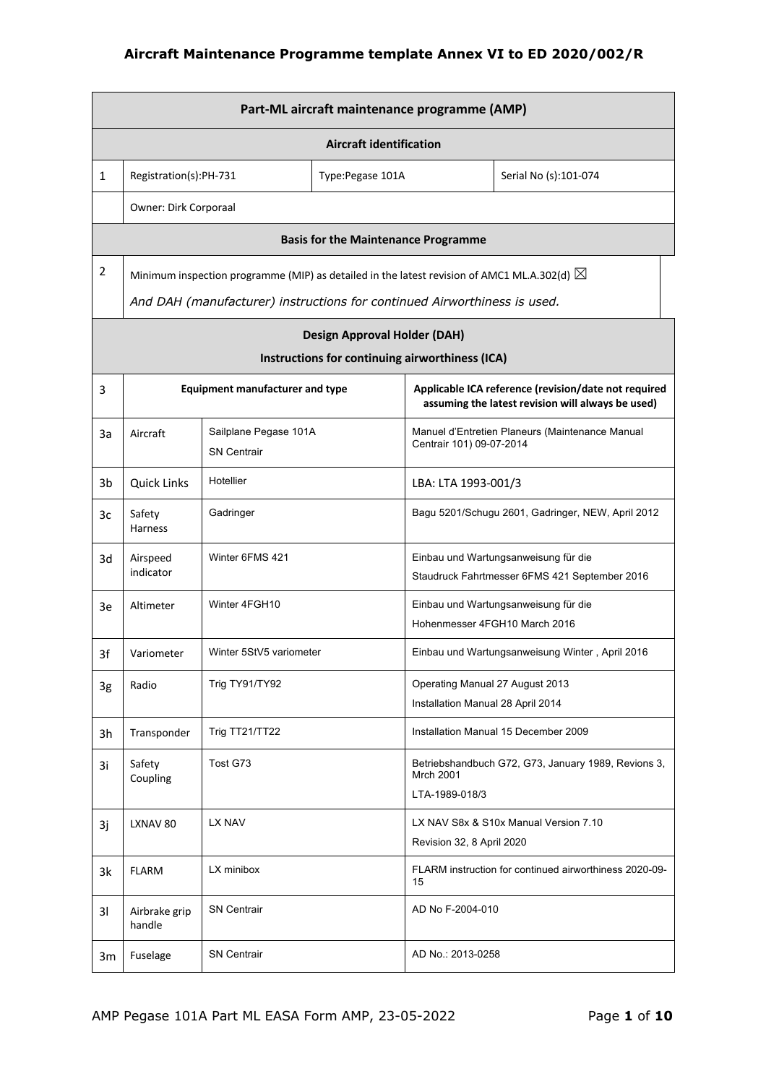|                | Part-ML aircraft maintenance programme (AMP) |                                                                                                       |                                                 |                                                                      |                                                                                                           |  |  |
|----------------|----------------------------------------------|-------------------------------------------------------------------------------------------------------|-------------------------------------------------|----------------------------------------------------------------------|-----------------------------------------------------------------------------------------------------------|--|--|
|                | <b>Aircraft identification</b>               |                                                                                                       |                                                 |                                                                      |                                                                                                           |  |  |
| $\mathbf{1}$   | Registration(s):PH-731                       | Type:Pegase 101A<br>Serial No (s):101-074                                                             |                                                 |                                                                      |                                                                                                           |  |  |
|                | Owner: Dirk Corporaal                        |                                                                                                       |                                                 |                                                                      |                                                                                                           |  |  |
|                |                                              |                                                                                                       | <b>Basis for the Maintenance Programme</b>      |                                                                      |                                                                                                           |  |  |
| $\overline{2}$ |                                              | Minimum inspection programme (MIP) as detailed in the latest revision of AMC1 ML.A.302(d) $\boxtimes$ |                                                 |                                                                      |                                                                                                           |  |  |
|                |                                              | And DAH (manufacturer) instructions for continued Airworthiness is used.                              |                                                 |                                                                      |                                                                                                           |  |  |
|                |                                              |                                                                                                       | <b>Design Approval Holder (DAH)</b>             |                                                                      |                                                                                                           |  |  |
|                |                                              |                                                                                                       | Instructions for continuing airworthiness (ICA) |                                                                      |                                                                                                           |  |  |
| 3              |                                              | <b>Equipment manufacturer and type</b>                                                                |                                                 |                                                                      | Applicable ICA reference (revision/date not required<br>assuming the latest revision will always be used) |  |  |
| 3a             | Aircraft                                     | Sailplane Pegase 101A<br><b>SN Centrair</b>                                                           |                                                 | Centrair 101) 09-07-2014                                             | Manuel d'Entretien Planeurs (Maintenance Manual                                                           |  |  |
| 3b             | <b>Quick Links</b>                           | Hotellier                                                                                             |                                                 | LBA: LTA 1993-001/3                                                  |                                                                                                           |  |  |
| 3c             | Safety<br><b>Harness</b>                     | Gadringer                                                                                             |                                                 |                                                                      | Bagu 5201/Schugu 2601, Gadringer, NEW, April 2012                                                         |  |  |
| 3d             | Airspeed<br>indicator                        | Winter 6FMS 421                                                                                       |                                                 |                                                                      | Einbau und Wartungsanweisung für die<br>Staudruck Fahrtmesser 6FMS 421 September 2016                     |  |  |
| 3e             | Altimeter                                    | Winter 4FGH10                                                                                         |                                                 | Hohenmesser 4FGH10 March 2016                                        | Einbau und Wartungsanweisung für die                                                                      |  |  |
| 3f             | Variometer                                   | Winter 5StV5 variometer                                                                               |                                                 |                                                                      | Einbau und Wartungsanweisung Winter, April 2016                                                           |  |  |
| 3g             | Radio                                        | Trig TY91/TY92                                                                                        |                                                 | Operating Manual 27 August 2013<br>Installation Manual 28 April 2014 |                                                                                                           |  |  |
| 3h             | Transponder                                  | Trig TT21/TT22                                                                                        |                                                 |                                                                      | Installation Manual 15 December 2009                                                                      |  |  |
| 3i             | Safety<br>Coupling                           | Tost G73                                                                                              |                                                 | <b>Mrch 2001</b><br>LTA-1989-018/3                                   | Betriebshandbuch G72, G73, January 1989, Revions 3,                                                       |  |  |
| 3j             | LXNAV 80                                     | LX NAV                                                                                                |                                                 | Revision 32, 8 April 2020                                            | LX NAV S8x & S10x Manual Version 7.10                                                                     |  |  |
| 3k             | <b>FLARM</b>                                 | LX minibox                                                                                            |                                                 | 15                                                                   | FLARM instruction for continued airworthiness 2020-09-                                                    |  |  |
| 31             | Airbrake grip<br>handle                      | <b>SN Centrair</b>                                                                                    |                                                 | AD No F-2004-010                                                     |                                                                                                           |  |  |
| 3m             | Fuselage                                     | <b>SN Centrair</b>                                                                                    |                                                 | AD No.: 2013-0258                                                    |                                                                                                           |  |  |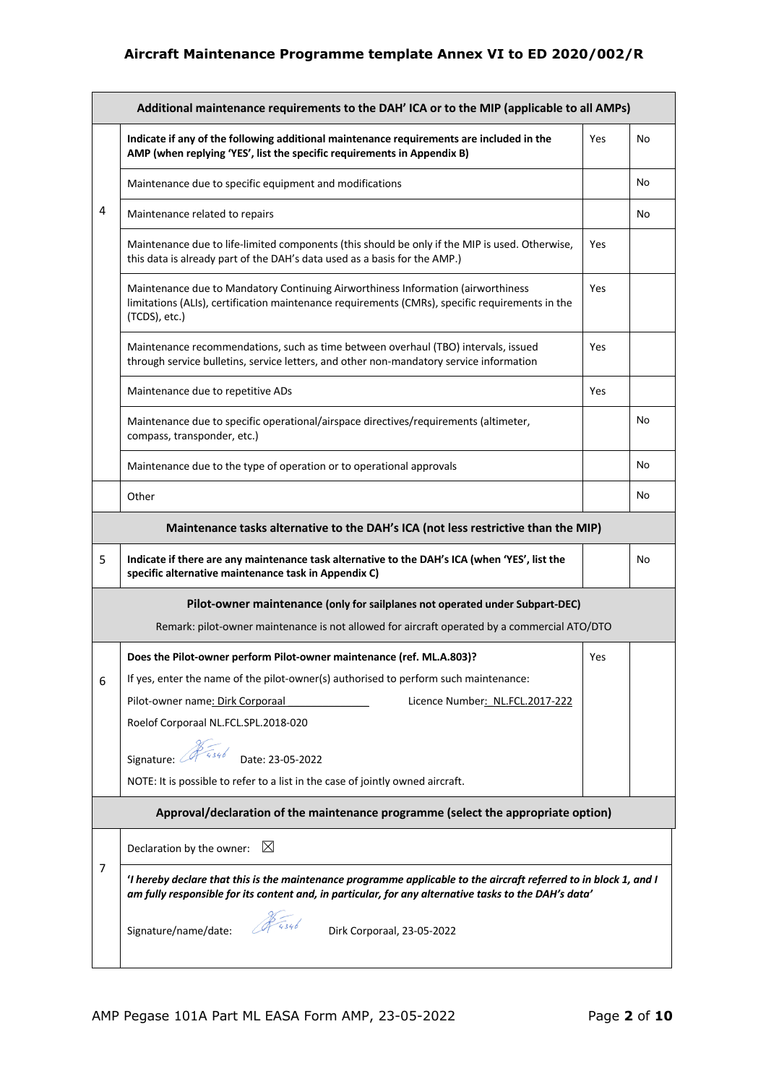|   | Additional maintenance requirements to the DAH' ICA or to the MIP (applicable to all AMPs)                                                                                                                                 |            |           |  |  |
|---|----------------------------------------------------------------------------------------------------------------------------------------------------------------------------------------------------------------------------|------------|-----------|--|--|
|   | Indicate if any of the following additional maintenance requirements are included in the<br>AMP (when replying 'YES', list the specific requirements in Appendix B)                                                        | Yes        | No        |  |  |
|   | Maintenance due to specific equipment and modifications                                                                                                                                                                    |            | <b>No</b> |  |  |
| 4 | Maintenance related to repairs                                                                                                                                                                                             |            | No        |  |  |
|   | Maintenance due to life-limited components (this should be only if the MIP is used. Otherwise,<br>this data is already part of the DAH's data used as a basis for the AMP.)                                                | Yes        |           |  |  |
|   | Maintenance due to Mandatory Continuing Airworthiness Information (airworthiness<br>limitations (ALIs), certification maintenance requirements (CMRs), specific requirements in the<br>(TCDS), etc.)                       | Yes        |           |  |  |
|   | Maintenance recommendations, such as time between overhaul (TBO) intervals, issued<br>through service bulletins, service letters, and other non-mandatory service information                                              | Yes        |           |  |  |
|   | Maintenance due to repetitive ADs                                                                                                                                                                                          | Yes        |           |  |  |
|   | Maintenance due to specific operational/airspace directives/requirements (altimeter,<br>compass, transponder, etc.)                                                                                                        |            | No        |  |  |
|   | Maintenance due to the type of operation or to operational approvals                                                                                                                                                       |            | No        |  |  |
|   | Other                                                                                                                                                                                                                      |            | No        |  |  |
|   | Maintenance tasks alternative to the DAH's ICA (not less restrictive than the MIP)                                                                                                                                         |            |           |  |  |
| 5 | Indicate if there are any maintenance task alternative to the DAH's ICA (when 'YES', list the<br>specific alternative maintenance task in Appendix C)                                                                      |            | No        |  |  |
|   | Pilot-owner maintenance (only for sailplanes not operated under Subpart-DEC)                                                                                                                                               |            |           |  |  |
|   | Remark: pilot-owner maintenance is not allowed for aircraft operated by a commercial ATO/DTO                                                                                                                               |            |           |  |  |
|   | Does the Pilot-owner perform Pilot-owner maintenance (ref. ML.A.803)?                                                                                                                                                      | <b>Yes</b> |           |  |  |
| 6 | If yes, enter the name of the pilot-owner(s) authorised to perform such maintenance:                                                                                                                                       |            |           |  |  |
|   | Pilot-owner name: Dirk Corporaal<br>Licence Number: NL.FCL.2017-222                                                                                                                                                        |            |           |  |  |
|   | Roelof Corporaal NL.FCL.SPL.2018-020                                                                                                                                                                                       |            |           |  |  |
|   | Signature: $\mathscr{F}_{4346}$<br>Date: 23-05-2022                                                                                                                                                                        |            |           |  |  |
|   | NOTE: It is possible to refer to a list in the case of jointly owned aircraft.                                                                                                                                             |            |           |  |  |
|   | Approval/declaration of the maintenance programme (select the appropriate option)                                                                                                                                          |            |           |  |  |
|   | $\boxtimes$<br>Declaration by the owner:                                                                                                                                                                                   |            |           |  |  |
| 7 | 'I hereby declare that this is the maintenance programme applicable to the aircraft referred to in block 1, and I<br>am fully responsible for its content and, in particular, for any alternative tasks to the DAH's data' |            |           |  |  |
|   | \$ 4346<br>Signature/name/date:<br>Dirk Corporaal, 23-05-2022                                                                                                                                                              |            |           |  |  |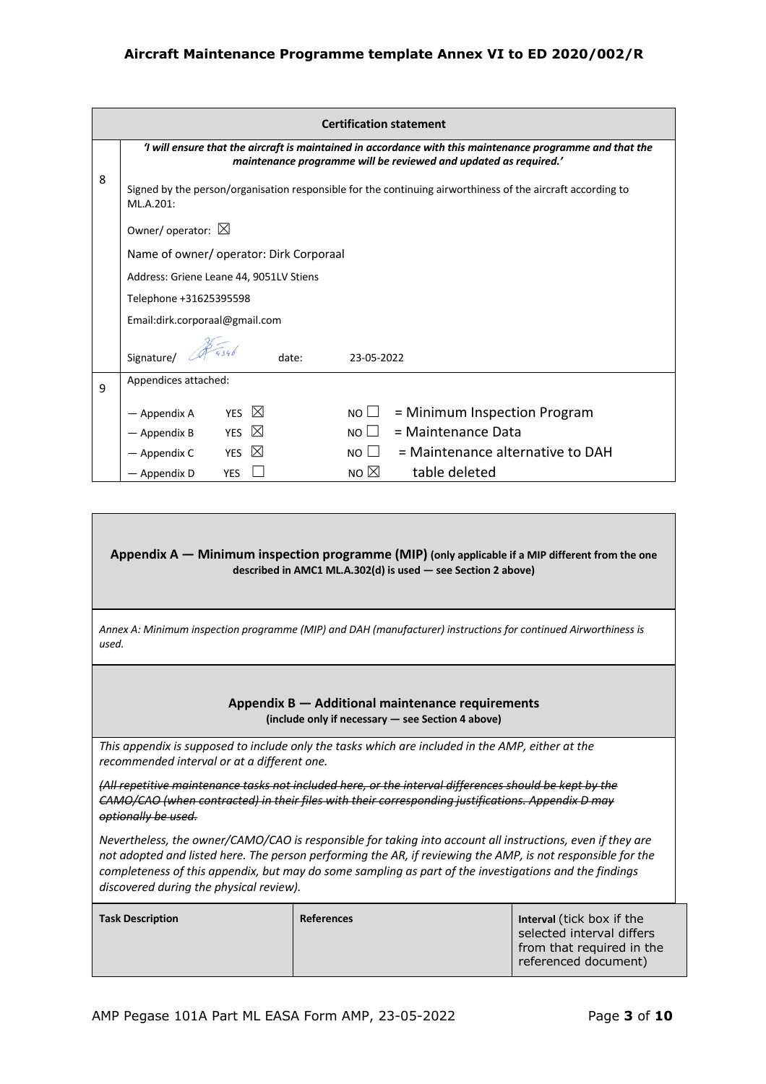|   | <b>Certification statement</b>                                                                                                                                               |             |                |                                                                                                             |  |  |  |
|---|------------------------------------------------------------------------------------------------------------------------------------------------------------------------------|-------------|----------------|-------------------------------------------------------------------------------------------------------------|--|--|--|
|   | I will ensure that the aircraft is maintained in accordance with this maintenance programme and that the<br>maintenance programme will be reviewed and updated as required.' |             |                |                                                                                                             |  |  |  |
| 8 | ML.A.201:                                                                                                                                                                    |             |                | Signed by the person/organisation responsible for the continuing airworthiness of the aircraft according to |  |  |  |
|   | Owner/ operator: $\boxtimes$                                                                                                                                                 |             |                |                                                                                                             |  |  |  |
|   | Name of owner/ operator: Dirk Corporaal                                                                                                                                      |             |                |                                                                                                             |  |  |  |
|   | Address: Griene Leane 44, 9051LV Stiens                                                                                                                                      |             |                |                                                                                                             |  |  |  |
|   | Telephone +31625395598                                                                                                                                                       |             |                |                                                                                                             |  |  |  |
|   | Email:dirk.corporaal@gmail.com                                                                                                                                               |             |                |                                                                                                             |  |  |  |
|   | Signature/                                                                                                                                                                   | date:       | 23-05-2022     |                                                                                                             |  |  |  |
| 9 | Appendices attached:                                                                                                                                                         |             |                |                                                                                                             |  |  |  |
|   | YES $\boxtimes$<br>— Appendix A                                                                                                                                              |             | $NO \Box$      | = Minimum Inspection Program                                                                                |  |  |  |
|   | YES<br>- Appendix B                                                                                                                                                          | $\boxtimes$ | $NO \Box$      | = Maintenance Data                                                                                          |  |  |  |
|   | <b>YES</b><br>— Appendix C                                                                                                                                                   | $\boxtimes$ | $NO \Box$      | = Maintenance alternative to DAH                                                                            |  |  |  |
|   | <b>YES</b><br>— Appendix D                                                                                                                                                   |             | NO $\boxtimes$ | table deleted                                                                                               |  |  |  |

**Appendix A — Minimum inspection programme (MIP) (only applicable if a MIP different from the one described in AMC1 ML.A.302(d) is used — see Section 2 above)** 

*Annex A: Minimum inspection programme (MIP) and DAH (manufacturer) instructions for continued Airworthiness is used.* 

> **Appendix B — Additional maintenance requirements (include only if necessary — see Section 4 above)**

*This appendix is supposed to include only the tasks which are included in the AMP, either at the recommended interval or at a different one.* 

*(All repetitive maintenance tasks not included here, or the interval differences should be kept by the CAMO/CAO (when contracted) in their files with their corresponding justifications. Appendix D may optionally be used.* 

*Nevertheless, the owner/CAMO/CAO is responsible for taking into account all instructions, even if they are not adopted and listed here. The person performing the AR, if reviewing the AMP, is not responsible for the completeness of this appendix, but may do some sampling as part of the investigations and the findings discovered during the physical review).*

| <b>Task Description</b> | <b>References</b> | Interval (tick box if the                                                      |
|-------------------------|-------------------|--------------------------------------------------------------------------------|
|                         |                   | selected interval differs<br>from that required in the<br>referenced document) |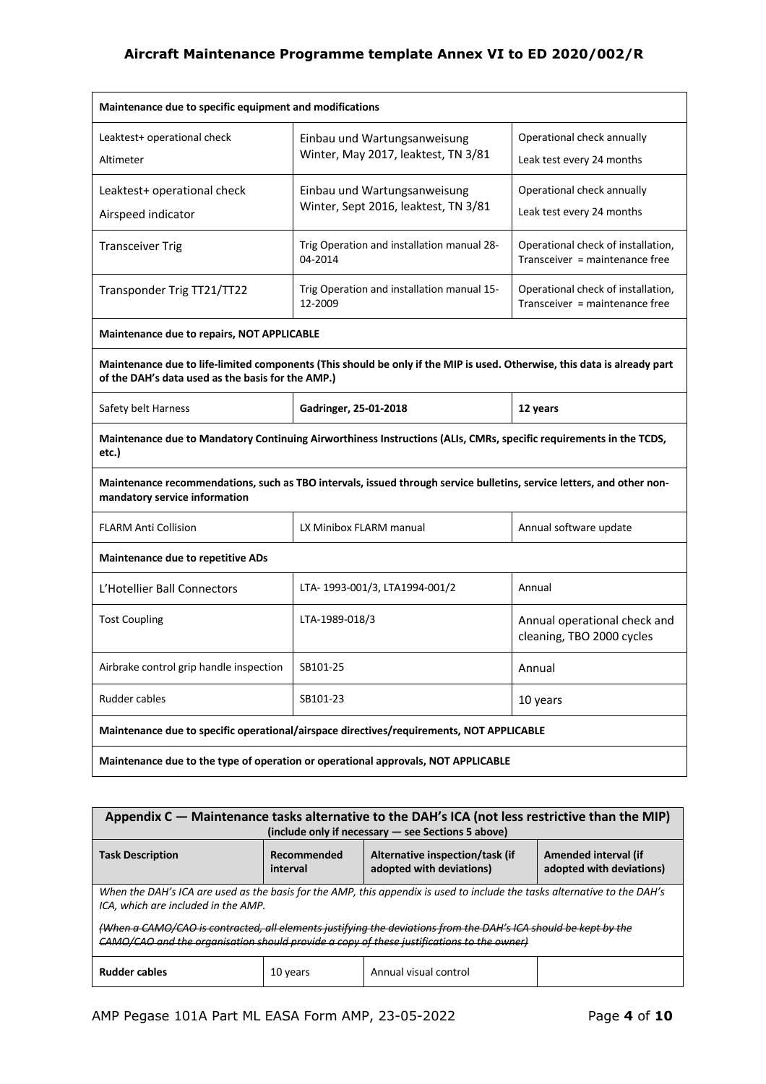| Maintenance due to specific equipment and modifications                                  |                                                                                                                          |                                                                      |  |  |  |
|------------------------------------------------------------------------------------------|--------------------------------------------------------------------------------------------------------------------------|----------------------------------------------------------------------|--|--|--|
| Leaktest+ operational check<br>Altimeter                                                 | Einbau und Wartungsanweisung<br>Winter, May 2017, leaktest, TN 3/81                                                      | Operational check annually<br>Leak test every 24 months              |  |  |  |
| Leaktest+ operational check<br>Airspeed indicator                                        | Einbau und Wartungsanweisung<br>Winter, Sept 2016, leaktest, TN 3/81                                                     | Operational check annually<br>Leak test every 24 months              |  |  |  |
| <b>Transceiver Trig</b>                                                                  | Trig Operation and installation manual 28-<br>04-2014                                                                    | Operational check of installation,<br>Transceiver = maintenance free |  |  |  |
| Transponder Trig TT21/TT22                                                               | Trig Operation and installation manual 15-<br>12-2009                                                                    | Operational check of installation,<br>Transceiver = maintenance free |  |  |  |
| Maintenance due to repairs, NOT APPLICABLE                                               |                                                                                                                          |                                                                      |  |  |  |
| of the DAH's data used as the basis for the AMP.)                                        | Maintenance due to life-limited components (This should be only if the MIP is used. Otherwise, this data is already part |                                                                      |  |  |  |
| Safety belt Harness                                                                      | Gadringer, 25-01-2018                                                                                                    | 12 years                                                             |  |  |  |
| etc.)                                                                                    | Maintenance due to Mandatory Continuing Airworthiness Instructions (ALIs, CMRs, specific requirements in the TCDS,       |                                                                      |  |  |  |
| mandatory service information                                                            | Maintenance recommendations, such as TBO intervals, issued through service bulletins, service letters, and other non-    |                                                                      |  |  |  |
| <b>FLARM Anti Collision</b>                                                              | LX Minibox FLARM manual                                                                                                  | Annual software update                                               |  |  |  |
| <b>Maintenance due to repetitive ADs</b>                                                 |                                                                                                                          |                                                                      |  |  |  |
| L'Hotellier Ball Connectors                                                              | LTA-1993-001/3, LTA1994-001/2                                                                                            | Annual                                                               |  |  |  |
| <b>Tost Coupling</b>                                                                     | LTA-1989-018/3                                                                                                           | Annual operational check and<br>cleaning, TBO 2000 cycles            |  |  |  |
| Airbrake control grip handle inspection                                                  | SB101-25                                                                                                                 | Annual                                                               |  |  |  |
| Rudder cables<br>SB101-23<br>10 years                                                    |                                                                                                                          |                                                                      |  |  |  |
| Maintenance due to specific operational/airspace directives/requirements, NOT APPLICABLE |                                                                                                                          |                                                                      |  |  |  |
| Maintenance due to the type of operation or operational approvals, NOT APPLICABLE        |                                                                                                                          |                                                                      |  |  |  |

| Appendix C - Maintenance tasks alternative to the DAH's ICA (not less restrictive than the MIP)<br>(include only if necessary - see Sections 5 above)                                                                                                                                                                                                                            |                         |                                                             |                                                  |  |  |
|----------------------------------------------------------------------------------------------------------------------------------------------------------------------------------------------------------------------------------------------------------------------------------------------------------------------------------------------------------------------------------|-------------------------|-------------------------------------------------------------|--------------------------------------------------|--|--|
| <b>Task Description</b>                                                                                                                                                                                                                                                                                                                                                          | Recommended<br>interval | Alternative inspection/task (if<br>adopted with deviations) | Amended interval (if<br>adopted with deviations) |  |  |
| When the DAH's ICA are used as the basis for the AMP, this appendix is used to include the tasks alternative to the DAH's<br>ICA, which are included in the AMP.<br>(When a CAMO/CAO is contracted, all elements justifying the deviations from the DAH's ICA should be kept by the<br>CAMO/CAO and the organisation should provide a copy of these justifications to the owner) |                         |                                                             |                                                  |  |  |
| <b>Rudder cables</b><br>Annual visual control<br>10 years                                                                                                                                                                                                                                                                                                                        |                         |                                                             |                                                  |  |  |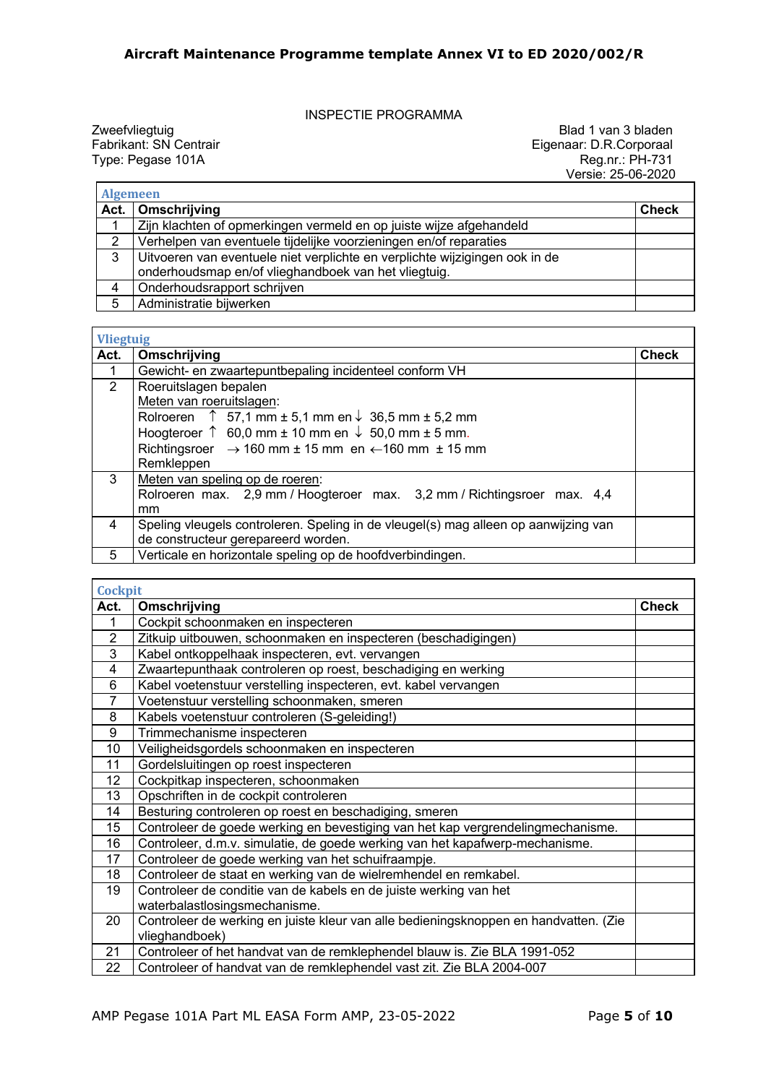INSPECTIE PROGRAMMA

Zweefvliegtuig and 2 blad 1 van 3 bladen<br>
Eigenaar: D.R.Corporaal Fabrikant: SN Centrair and 2 bladen and 2 bladen and 2 bladen and 2 bladen and 2 blad<br>
Eigenaar: D.R.Corporaal and 2 bladen and 2 bladen and 2 bladen and 2 Fabrikant: SN Centrair Eigenaar: D.R.Corporaal Type: Pegase 101A Reg.nr.: PH-731 Versie: 25-06-2020

٦

| <b>Algemeen</b> |                                                                             |              |
|-----------------|-----------------------------------------------------------------------------|--------------|
|                 | Act.   Omschrijving                                                         | <b>Check</b> |
|                 | Zijn klachten of opmerkingen vermeld en op juiste wijze afgehandeld         |              |
| 2               | Verhelpen van eventuele tijdelijke voorzieningen en/of reparaties           |              |
| 3               | Uitvoeren van eventuele niet verplichte en verplichte wijzigingen ook in de |              |
|                 | onderhoudsmap en/of vlieghandboek van het vliegtuig.                        |              |
|                 | Onderhoudsrapport schrijven                                                 |              |
| 5               | Administratie bijwerken                                                     |              |

| <b>Vliegtuig</b> |                                                                                                                                                                                                                                                                                                         |              |
|------------------|---------------------------------------------------------------------------------------------------------------------------------------------------------------------------------------------------------------------------------------------------------------------------------------------------------|--------------|
| Act.             | Omschrijving                                                                                                                                                                                                                                                                                            | <b>Check</b> |
| 1                | Gewicht- en zwaartepuntbepaling incidenteel conform VH                                                                                                                                                                                                                                                  |              |
| $\overline{2}$   | Roeruitslagen bepalen<br>Meten van roeruitslagen:<br>Rolroeren $\uparrow$ 57,1 mm ± 5,1 mm en $\downarrow$ 36,5 mm ± 5,2 mm<br>Hoogteroer $\uparrow$ 60,0 mm $\pm$ 10 mm en $\downarrow$ 50,0 mm $\pm$ 5 mm.<br>Richtingsroer $\rightarrow$ 160 mm ± 15 mm en $\leftarrow$ 160 mm ± 15 mm<br>Remkleppen |              |
| 3                | Meten van speling op de roeren:<br>Rolroeren max. 2,9 mm / Hoogteroer max. 3,2 mm / Richtingsroer max. 4,4<br>mm                                                                                                                                                                                        |              |
| 4                | Speling vleugels controleren. Speling in de vleugel(s) mag alleen op aanwijzing van<br>de constructeur gerepareerd worden.                                                                                                                                                                              |              |
| 5                | Verticale en horizontale speling op de hoofdverbindingen.                                                                                                                                                                                                                                               |              |

| <b>Cockpit</b> |                                                                                      |       |
|----------------|--------------------------------------------------------------------------------------|-------|
| Act.           | Omschrijving                                                                         | Check |
| 1              | Cockpit schoonmaken en inspecteren                                                   |       |
| $\overline{2}$ | Zitkuip uitbouwen, schoonmaken en inspecteren (beschadigingen)                       |       |
| 3              | Kabel ontkoppelhaak inspecteren, evt. vervangen                                      |       |
| $\overline{4}$ | Zwaartepunthaak controleren op roest, beschadiging en werking                        |       |
| 6              | Kabel voetenstuur verstelling inspecteren, evt. kabel vervangen                      |       |
| $\overline{7}$ | Voetenstuur verstelling schoonmaken, smeren                                          |       |
| 8              | Kabels voetenstuur controleren (S-geleiding!)                                        |       |
| 9              | Trimmechanisme inspecteren                                                           |       |
| 10             | Veiligheidsgordels schoonmaken en inspecteren                                        |       |
| 11             | Gordelsluitingen op roest inspecteren                                                |       |
| 12             | Cockpitkap inspecteren, schoonmaken                                                  |       |
| 13             | Opschriften in de cockpit controleren                                                |       |
| 14             | Besturing controleren op roest en beschadiging, smeren                               |       |
| 15             | Controleer de goede werking en bevestiging van het kap vergrendelingmechanisme.      |       |
| 16             | Controleer, d.m.v. simulatie, de goede werking van het kapafwerp-mechanisme.         |       |
| 17             | Controleer de goede werking van het schuifraampje.                                   |       |
| 18             | Controleer de staat en werking van de wielremhendel en remkabel.                     |       |
| 19             | Controleer de conditie van de kabels en de juiste werking van het                    |       |
|                | waterbalastlosingsmechanisme.                                                        |       |
| 20             | Controleer de werking en juiste kleur van alle bedieningsknoppen en handvatten. (Zie |       |
|                | vlieghandboek)                                                                       |       |
| 21             | Controleer of het handvat van de remklephendel blauw is. Zie BLA 1991-052            |       |
| 22             | Controleer of handvat van de remklephendel vast zit. Zie BLA 2004-007                |       |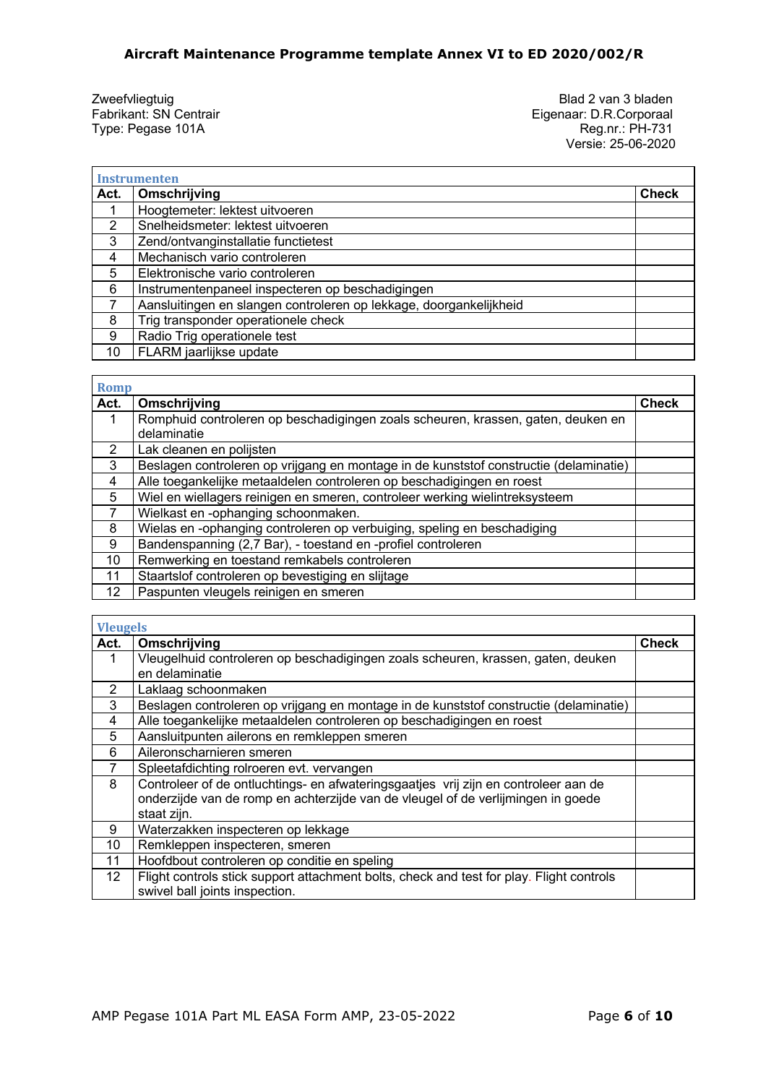$\mathsf{r}$ 

 $\mathbf{r}$ 

Zweefvliegtuig and 2 van 3 bladen<br>
Fabrikant: SN Centrair and Eigenaar: D.R.Corporaal Fabrikant: SN Centrair Fabrikant: SN Centrair Eigenaar: D.R.Corporaal<br>Type: Pegase 101A Reg.nr.: PH-731 Type: Pegase 101A Reg.nr.: PH-731 Versie: 25-06-2020

|               | <b>Instrumenten</b>                                                |              |
|---------------|--------------------------------------------------------------------|--------------|
| Act.          | Omschrijving                                                       | <b>Check</b> |
|               | Hoogtemeter: lektest uitvoeren                                     |              |
| $\mathcal{P}$ | Snelheidsmeter: lektest uitvoeren                                  |              |
| 3             | Zend/ontvanginstallatie functietest                                |              |
| 4             | Mechanisch vario controleren                                       |              |
| 5             | Elektronische vario controleren                                    |              |
| 6             | Instrumentenpaneel inspecteren op beschadigingen                   |              |
|               | Aansluitingen en slangen controleren op lekkage, doorgankelijkheid |              |
| 8             | Trig transponder operationele check                                |              |
| 9             | Radio Trig operationele test                                       |              |
| 10            | FLARM jaarlijkse update                                            |              |

| <b>Romp</b>   |                                                                                       |              |
|---------------|---------------------------------------------------------------------------------------|--------------|
| Act.          | Omschrijving                                                                          | <b>Check</b> |
| 1             | Romphuid controleren op beschadigingen zoals scheuren, krassen, gaten, deuken en      |              |
|               | delaminatie                                                                           |              |
| $\mathcal{P}$ | Lak cleanen en polijsten                                                              |              |
| 3             | Beslagen controleren op vrijgang en montage in de kunststof constructie (delaminatie) |              |
| 4             | Alle toegankelijke metaaldelen controleren op beschadigingen en roest                 |              |
| 5             | Wiel en wiellagers reinigen en smeren, controleer werking wielintreksysteem           |              |
| 7             | Wielkast en -ophanging schoonmaken.                                                   |              |
| 8             | Wielas en -ophanging controleren op verbuiging, speling en beschadiging               |              |
| 9             | Bandenspanning (2,7 Bar), - toestand en -profiel controleren                          |              |
| 10            | Remwerking en toestand remkabels controleren                                          |              |
| 11            | Staartslof controleren op bevestiging en slijtage                                     |              |
| 12            | Paspunten vleugels reinigen en smeren                                                 |              |

| <b>Vleugels</b> |                                                                                          |              |
|-----------------|------------------------------------------------------------------------------------------|--------------|
| Act.            | Omschrijving                                                                             | <b>Check</b> |
| 1               | Vleugelhuid controleren op beschadigingen zoals scheuren, krassen, gaten, deuken         |              |
|                 | en delaminatie                                                                           |              |
| 2               | Laklaag schoonmaken                                                                      |              |
| 3               | Beslagen controleren op vrijgang en montage in de kunststof constructie (delaminatie)    |              |
| 4               | Alle toegankelijke metaaldelen controleren op beschadigingen en roest                    |              |
| 5               | Aansluitpunten ailerons en remkleppen smeren                                             |              |
| 6               | Aileronscharnieren smeren                                                                |              |
| 7               | Spleetafdichting rolroeren evt. vervangen                                                |              |
| 8               | Controleer of de ontluchtings- en afwateringsgaatjes vrij zijn en controleer aan de      |              |
|                 | onderzijde van de romp en achterzijde van de vleugel of de verlijmingen in goede         |              |
|                 | staat zijn.                                                                              |              |
| 9               | Waterzakken inspecteren op lekkage                                                       |              |
| 10              | Remkleppen inspecteren, smeren                                                           |              |
| 11              | Hoofdbout controleren op conditie en speling                                             |              |
| 12 <sup>2</sup> | Flight controls stick support attachment bolts, check and test for play. Flight controls |              |
|                 | swivel ball joints inspection.                                                           |              |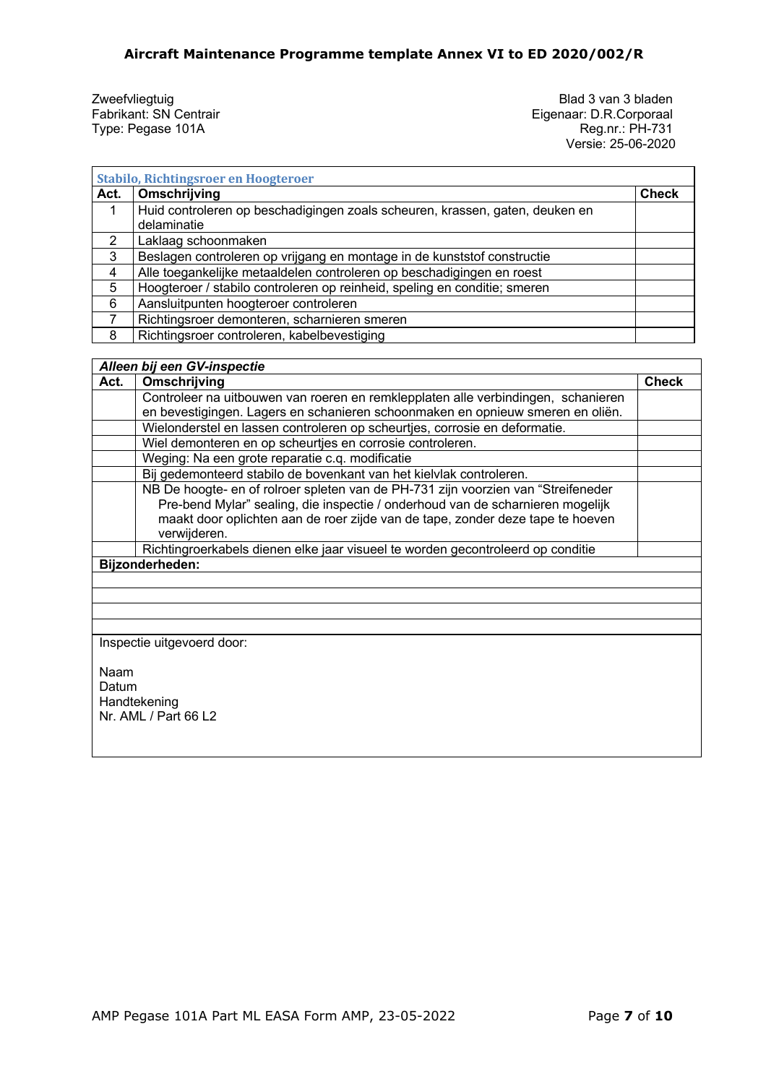Zweefvliegtuig and Solation Blad 3 van 3 bladen<br>
Fabrikant: SN Centrair and Solation Blad 3 van 3 bladen<br>
Eigenaar: D.R.Corporaal Fabrikant: SN Centrair Eigenaar: D.R.Corporaal<br>Type: Pegase 101A Reg.nr.: PH-731 Type: Pegase 101A Reg.nr.: PH-731 Versie: 25-06-2020

٦

| <b>Stabilo, Richtingsroer en Hoogteroer</b> |                                                                                             |              |  |
|---------------------------------------------|---------------------------------------------------------------------------------------------|--------------|--|
| Act.                                        | Omschrijving                                                                                | <b>Check</b> |  |
|                                             | Huid controleren op beschadigingen zoals scheuren, krassen, gaten, deuken en<br>delaminatie |              |  |
|                                             | Laklaag schoonmaken                                                                         |              |  |
| 3                                           | Beslagen controleren op vrijgang en montage in de kunststof constructie                     |              |  |
| 4                                           | Alle toegankelijke metaaldelen controleren op beschadigingen en roest                       |              |  |
| 5                                           | Hoogteroer / stabilo controleren op reinheid, speling en conditie; smeren                   |              |  |
| 6                                           | Aansluitpunten hoogteroer controleren                                                       |              |  |
|                                             | Richtingsroer demonteren, scharnieren smeren                                                |              |  |
| 8                                           | Richtingsroer controleren, kabelbevestiging                                                 |              |  |

### *Alleen bij een GV-inspectie*

| Act.                       | Omschrijving                                                                                                                                                                                                                                                          | <b>Check</b> |
|----------------------------|-----------------------------------------------------------------------------------------------------------------------------------------------------------------------------------------------------------------------------------------------------------------------|--------------|
|                            | Controleer na uitbouwen van roeren en remklepplaten alle verbindingen, schanieren                                                                                                                                                                                     |              |
|                            | en bevestigingen. Lagers en schanieren schoonmaken en opnieuw smeren en oliën.                                                                                                                                                                                        |              |
|                            | Wielonderstel en lassen controleren op scheurtjes, corrosie en deformatie.                                                                                                                                                                                            |              |
|                            | Wiel demonteren en op scheurtjes en corrosie controleren.                                                                                                                                                                                                             |              |
|                            | Weging: Na een grote reparatie c.q. modificatie                                                                                                                                                                                                                       |              |
|                            | Bij gedemonteerd stabilo de bovenkant van het kielvlak controleren.                                                                                                                                                                                                   |              |
|                            | NB De hoogte- en of rolroer spleten van de PH-731 zijn voorzien van "Streifeneder<br>Pre-bend Mylar" sealing, die inspectie / onderhoud van de scharnieren mogelijk<br>maakt door oplichten aan de roer zijde van de tape, zonder deze tape te hoeven<br>verwijderen. |              |
|                            | Richtingroerkabels dienen elke jaar visueel te worden gecontroleerd op conditie                                                                                                                                                                                       |              |
| Bijzonderheden:            |                                                                                                                                                                                                                                                                       |              |
|                            |                                                                                                                                                                                                                                                                       |              |
|                            |                                                                                                                                                                                                                                                                       |              |
|                            |                                                                                                                                                                                                                                                                       |              |
|                            |                                                                                                                                                                                                                                                                       |              |
| Inspectie uitgevoerd door: |                                                                                                                                                                                                                                                                       |              |
| Naam<br>Datum              |                                                                                                                                                                                                                                                                       |              |

Handtekening Nr. AML / Part 66 L2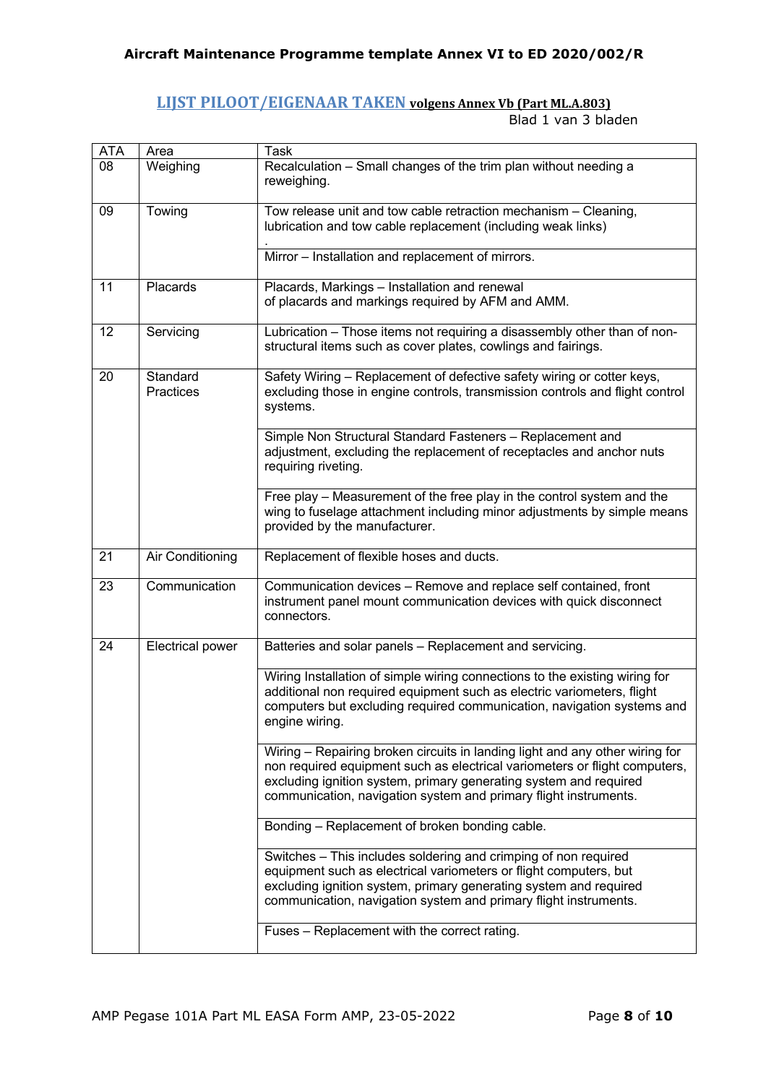### **LIJST PILOOT/EIGENAAR TAKEN volgens Annex Vb (Part ML.A.803)**

Blad 1 van 3 bladen

| <b>ATA</b> | Area                  | <b>Task</b>                                                                                                                                                                                                                                                                                         |
|------------|-----------------------|-----------------------------------------------------------------------------------------------------------------------------------------------------------------------------------------------------------------------------------------------------------------------------------------------------|
| 08         | Weighing              | Recalculation - Small changes of the trim plan without needing a<br>reweighing.                                                                                                                                                                                                                     |
| 09         | Towing                | Tow release unit and tow cable retraction mechanism - Cleaning,<br>lubrication and tow cable replacement (including weak links)<br>Mirror - Installation and replacement of mirrors.                                                                                                                |
|            |                       |                                                                                                                                                                                                                                                                                                     |
| 11         | Placards              | Placards, Markings - Installation and renewal<br>of placards and markings required by AFM and AMM.                                                                                                                                                                                                  |
| 12         | Servicing             | Lubrication - Those items not requiring a disassembly other than of non-<br>structural items such as cover plates, cowlings and fairings.                                                                                                                                                           |
| 20         | Standard<br>Practices | Safety Wiring - Replacement of defective safety wiring or cotter keys,<br>excluding those in engine controls, transmission controls and flight control<br>systems.                                                                                                                                  |
|            |                       | Simple Non Structural Standard Fasteners - Replacement and<br>adjustment, excluding the replacement of receptacles and anchor nuts<br>requiring riveting.                                                                                                                                           |
|            |                       | Free play – Measurement of the free play in the control system and the<br>wing to fuselage attachment including minor adjustments by simple means<br>provided by the manufacturer.                                                                                                                  |
| 21         | Air Conditioning      | Replacement of flexible hoses and ducts.                                                                                                                                                                                                                                                            |
| 23         | Communication         | Communication devices - Remove and replace self contained, front<br>instrument panel mount communication devices with quick disconnect<br>connectors.                                                                                                                                               |
| 24         | Electrical power      | Batteries and solar panels - Replacement and servicing.                                                                                                                                                                                                                                             |
|            |                       | Wiring Installation of simple wiring connections to the existing wiring for<br>additional non required equipment such as electric variometers, flight<br>computers but excluding required communication, navigation systems and<br>engine wiring.                                                   |
|            |                       | Wiring - Repairing broken circuits in landing light and any other wiring for<br>non required equipment such as electrical variometers or flight computers,<br>excluding ignition system, primary generating system and required<br>communication, navigation system and primary flight instruments. |
|            |                       | Bonding - Replacement of broken bonding cable.                                                                                                                                                                                                                                                      |
|            |                       | Switches - This includes soldering and crimping of non required<br>equipment such as electrical variometers or flight computers, but<br>excluding ignition system, primary generating system and required<br>communication, navigation system and primary flight instruments.                       |
|            |                       | Fuses - Replacement with the correct rating.                                                                                                                                                                                                                                                        |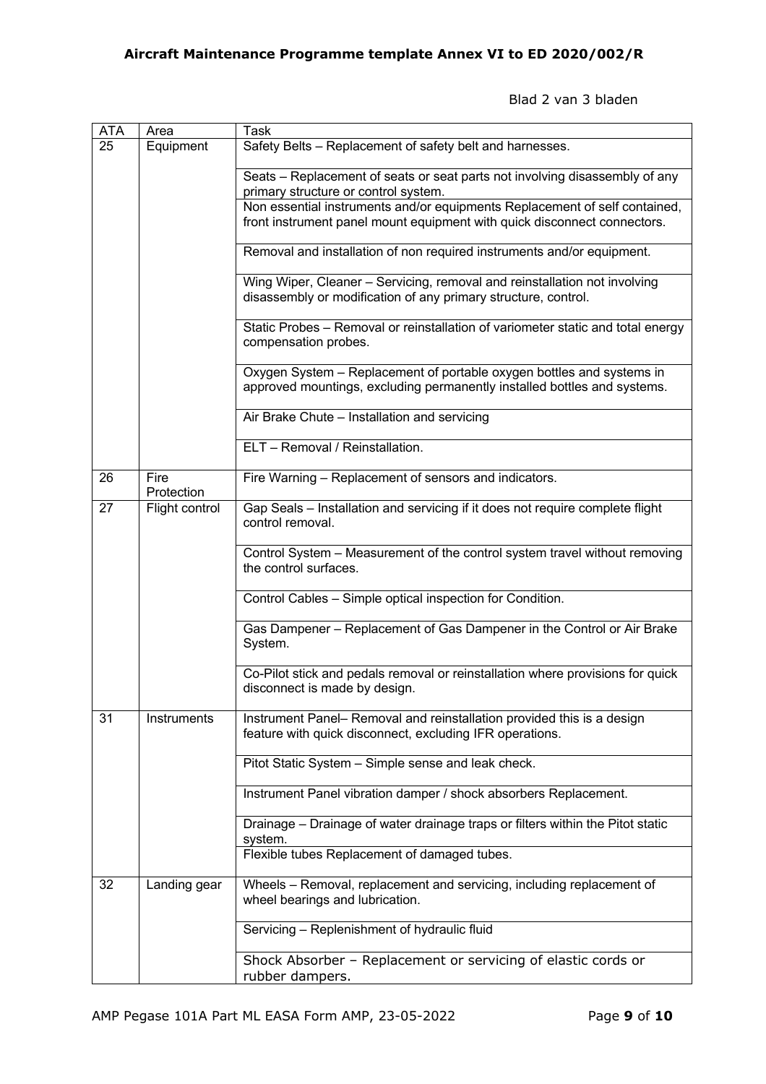Blad 2 van 3 bladen

| <b>ATA</b> | Area               | Task                                                                                                                                                   |
|------------|--------------------|--------------------------------------------------------------------------------------------------------------------------------------------------------|
| 25         | Equipment          | Safety Belts - Replacement of safety belt and harnesses.                                                                                               |
|            |                    | Seats - Replacement of seats or seat parts not involving disassembly of any<br>primary structure or control system.                                    |
|            |                    | Non essential instruments and/or equipments Replacement of self contained,<br>front instrument panel mount equipment with quick disconnect connectors. |
|            |                    | Removal and installation of non required instruments and/or equipment.                                                                                 |
|            |                    | Wing Wiper, Cleaner - Servicing, removal and reinstallation not involving<br>disassembly or modification of any primary structure, control.            |
|            |                    | Static Probes - Removal or reinstallation of variometer static and total energy<br>compensation probes.                                                |
|            |                    | Oxygen System - Replacement of portable oxygen bottles and systems in<br>approved mountings, excluding permanently installed bottles and systems.      |
|            |                    | Air Brake Chute - Installation and servicing                                                                                                           |
|            |                    | ELT - Removal / Reinstallation.                                                                                                                        |
| 26         | Fire<br>Protection | Fire Warning - Replacement of sensors and indicators.                                                                                                  |
| 27         | Flight control     | Gap Seals - Installation and servicing if it does not require complete flight<br>control removal.                                                      |
|            |                    | Control System - Measurement of the control system travel without removing<br>the control surfaces.                                                    |
|            |                    | Control Cables - Simple optical inspection for Condition.                                                                                              |
|            |                    | Gas Dampener - Replacement of Gas Dampener in the Control or Air Brake<br>System.                                                                      |
|            |                    | Co-Pilot stick and pedals removal or reinstallation where provisions for quick<br>disconnect is made by design.                                        |
| 31         | Instruments        | Instrument Panel- Removal and reinstallation provided this is a design<br>feature with quick disconnect, excluding IFR operations.                     |
|            |                    | Pitot Static System - Simple sense and leak check.                                                                                                     |
|            |                    | Instrument Panel vibration damper / shock absorbers Replacement.                                                                                       |
|            |                    | Drainage - Drainage of water drainage traps or filters within the Pitot static<br>system.                                                              |
|            |                    | Flexible tubes Replacement of damaged tubes.                                                                                                           |
| 32         | Landing gear       | Wheels - Removal, replacement and servicing, including replacement of<br>wheel bearings and lubrication.                                               |
|            |                    | Servicing - Replenishment of hydraulic fluid                                                                                                           |
|            |                    | Shock Absorber - Replacement or servicing of elastic cords or<br>rubber dampers.                                                                       |